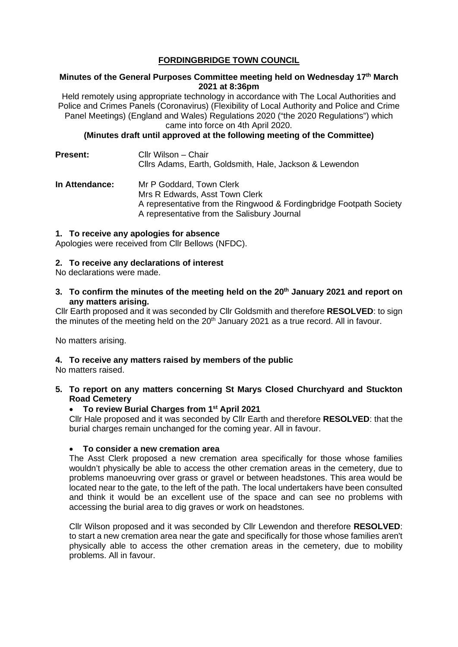## **FORDINGBRIDGE TOWN COUNCIL**

#### **Minutes of the General Purposes Committee meeting held on Wednesday 17th March 2021 at 8:36pm**

Held remotely using appropriate technology in accordance with The Local Authorities and Police and Crimes Panels (Coronavirus) (Flexibility of Local Authority and Police and Crime Panel Meetings) (England and Wales) Regulations 2020 ("the 2020 Regulations") which came into force on 4th April 2020.

**(Minutes draft until approved at the following meeting of the Committee)**

**Present:** Cllr Wilson – Chair Cllrs Adams, Earth, Goldsmith, Hale, Jackson & Lewendon **In Attendance:** Mr P Goddard, Town Clerk

Mrs R Edwards, Asst Town Clerk A representative from the Ringwood & Fordingbridge Footpath Society A representative from the Salisbury Journal

#### **1. To receive any apologies for absence**

Apologies were received from Cllr Bellows (NFDC).

#### **2. To receive any declarations of interest**

No declarations were made.

**3. To confirm the minutes of the meeting held on the 20th January 2021 and report on any matters arising.**

Cllr Earth proposed and it was seconded by Cllr Goldsmith and therefore **RESOLVED**: to sign the minutes of the meeting held on the  $20<sup>th</sup>$  January 2021 as a true record. All in favour.

No matters arising.

## **4. To receive any matters raised by members of the public**

No matters raised.

**5. To report on any matters concerning St Marys Closed Churchyard and Stuckton Road Cemetery**

## • **To review Burial Charges from 1st April 2021**

Cllr Hale proposed and it was seconded by Cllr Earth and therefore **RESOLVED**: that the burial charges remain unchanged for the coming year. All in favour.

## • **To consider a new cremation area**

The Asst Clerk proposed a new cremation area specifically for those whose families wouldn't physically be able to access the other cremation areas in the cemetery, due to problems manoeuvring over grass or gravel or between headstones. This area would be located near to the gate, to the left of the path. The local undertakers have been consulted and think it would be an excellent use of the space and can see no problems with accessing the burial area to dig graves or work on headstones.

Cllr Wilson proposed and it was seconded by Cllr Lewendon and therefore **RESOLVED**: to start a new cremation area near the gate and specifically for those whose families aren't physically able to access the other cremation areas in the cemetery, due to mobility problems. All in favour.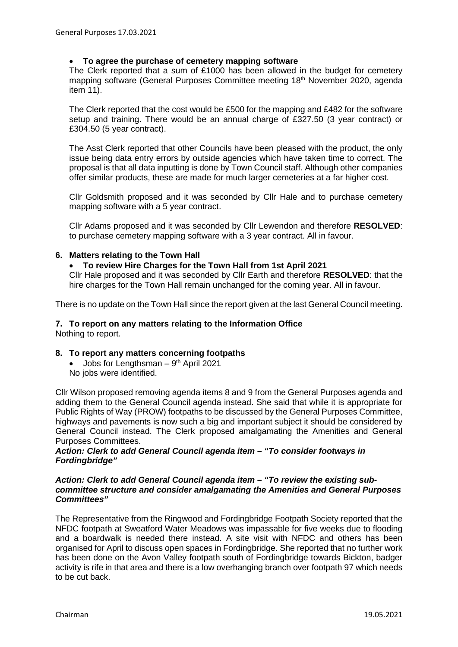#### • **To agree the purchase of cemetery mapping software**

The Clerk reported that a sum of £1000 has been allowed in the budget for cemetery mapping software (General Purposes Committee meeting 18<sup>th</sup> November 2020, agenda item 11).

The Clerk reported that the cost would be £500 for the mapping and £482 for the software setup and training. There would be an annual charge of £327.50 (3 year contract) or £304.50 (5 year contract).

The Asst Clerk reported that other Councils have been pleased with the product, the only issue being data entry errors by outside agencies which have taken time to correct. The proposal is that all data inputting is done by Town Council staff. Although other companies offer similar products, these are made for much larger cemeteries at a far higher cost.

Cllr Goldsmith proposed and it was seconded by Cllr Hale and to purchase cemetery mapping software with a 5 year contract.

Cllr Adams proposed and it was seconded by Cllr Lewendon and therefore **RESOLVED**: to purchase cemetery mapping software with a 3 year contract. All in favour.

## **6. Matters relating to the Town Hall**

#### • **To review Hire Charges for the Town Hall from 1st April 2021**

Cllr Hale proposed and it was seconded by Cllr Earth and therefore **RESOLVED**: that the hire charges for the Town Hall remain unchanged for the coming year. All in favour.

There is no update on the Town Hall since the report given at the last General Council meeting.

# **7. To report on any matters relating to the Information Office**

Nothing to report.

#### **8. To report any matters concerning footpaths**

• Jobs for Lengthsman  $-9<sup>th</sup>$  April 2021 No jobs were identified.

Cllr Wilson proposed removing agenda items 8 and 9 from the General Purposes agenda and adding them to the General Council agenda instead. She said that while it is appropriate for Public Rights of Way (PROW) footpaths to be discussed by the General Purposes Committee, highways and pavements is now such a big and important subject it should be considered by General Council instead. The Clerk proposed amalgamating the Amenities and General Purposes Committees.

#### *Action: Clerk to add General Council agenda item – "To consider footways in Fordingbridge"*

#### *Action: Clerk to add General Council agenda item – "To review the existing subcommittee structure and consider amalgamating the Amenities and General Purposes Committees"*

The Representative from the Ringwood and Fordingbridge Footpath Society reported that the NFDC footpath at Sweatford Water Meadows was impassable for five weeks due to flooding and a boardwalk is needed there instead. A site visit with NFDC and others has been organised for April to discuss open spaces in Fordingbridge. She reported that no further work has been done on the Avon Valley footpath south of Fordingbridge towards Bickton, badger activity is rife in that area and there is a low overhanging branch over footpath 97 which needs to be cut back.